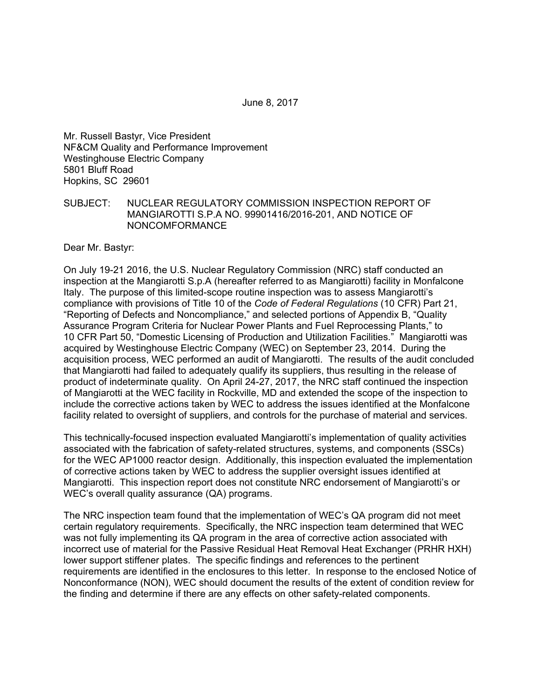June 8, 2017

Mr. Russell Bastyr, Vice President NF&CM Quality and Performance Improvement Westinghouse Electric Company 5801 Bluff Road Hopkins, SC 29601

SUBJECT: NUCLEAR REGULATORY COMMISSION INSPECTION REPORT OF MANGIAROTTI S.P.A NO. 99901416/2016-201, AND NOTICE OF NONCOMFORMANCE

Dear Mr. Bastyr:

On July 19-21 2016, the U.S. Nuclear Regulatory Commission (NRC) staff conducted an inspection at the Mangiarotti S.p.A (hereafter referred to as Mangiarotti) facility in Monfalcone Italy. The purpose of this limited-scope routine inspection was to assess Mangiarotti's compliance with provisions of Title 10 of the *Code of Federal Regulations* (10 CFR) Part 21, "Reporting of Defects and Noncompliance," and selected portions of Appendix B, "Quality Assurance Program Criteria for Nuclear Power Plants and Fuel Reprocessing Plants," to 10 CFR Part 50, "Domestic Licensing of Production and Utilization Facilities." Mangiarotti was acquired by Westinghouse Electric Company (WEC) on September 23, 2014. During the acquisition process, WEC performed an audit of Mangiarotti. The results of the audit concluded that Mangiarotti had failed to adequately qualify its suppliers, thus resulting in the release of product of indeterminate quality. On April 24-27, 2017, the NRC staff continued the inspection of Mangiarotti at the WEC facility in Rockville, MD and extended the scope of the inspection to include the corrective actions taken by WEC to address the issues identified at the Monfalcone facility related to oversight of suppliers, and controls for the purchase of material and services.

This technically-focused inspection evaluated Mangiarotti's implementation of quality activities associated with the fabrication of safety-related structures, systems, and components (SSCs) for the WEC AP1000 reactor design. Additionally, this inspection evaluated the implementation of corrective actions taken by WEC to address the supplier oversight issues identified at Mangiarotti. This inspection report does not constitute NRC endorsement of Mangiarotti's or WEC's overall quality assurance (QA) programs.

The NRC inspection team found that the implementation of WEC's QA program did not meet certain regulatory requirements. Specifically, the NRC inspection team determined that WEC was not fully implementing its QA program in the area of corrective action associated with incorrect use of material for the Passive Residual Heat Removal Heat Exchanger (PRHR HXH) lower support stiffener plates. The specific findings and references to the pertinent requirements are identified in the enclosures to this letter. In response to the enclosed Notice of Nonconformance (NON), WEC should document the results of the extent of condition review for the finding and determine if there are any effects on other safety-related components.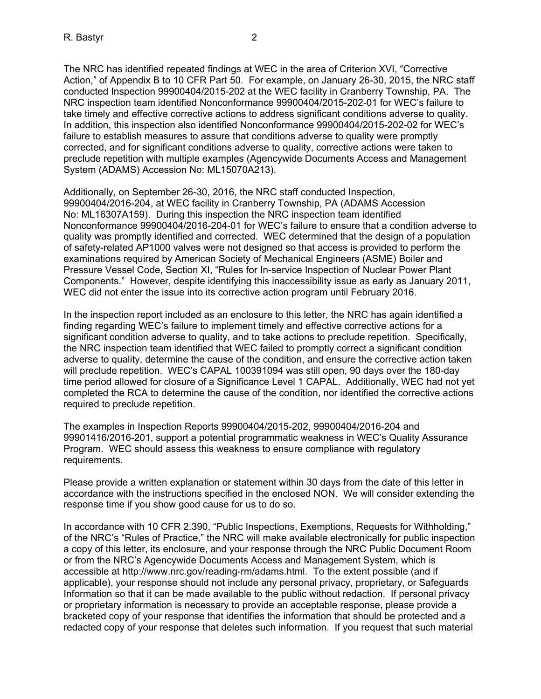The NRC has identified repeated findings at WEC in the area of Criterion XVI, "Corrective Action," of Appendix B to 10 CFR Part 50. For example, on January 26-30, 2015, the NRC staff conducted Inspection 99900404/2015-202 at the WEC facility in Cranberry Township, PA. The NRC inspection team identified Nonconformance 99900404/2015-202-01 for WEC's failure to take timely and effective corrective actions to address significant conditions adverse to quality. In addition, this inspection also identified Nonconformance 99900404/2015-202-02 for WEC's failure to establish measures to assure that conditions adverse to quality were promptly corrected, and for significant conditions adverse to quality, corrective actions were taken to preclude repetition with multiple examples (Agencywide Documents Access and Management System (ADAMS) Accession No: ML15070A213).

Additionally, on September 26-30, 2016, the NRC staff conducted Inspection, 99900404/2016-204, at WEC facility in Cranberry Township, PA (ADAMS Accession No: ML16307A159). During this inspection the NRC inspection team identified Nonconformance 99900404/2016-204-01 for WEC's failure to ensure that a condition adverse to quality was promptly identified and corrected. WEC determined that the design of a population of safety-related AP1000 valves were not designed so that access is provided to perform the examinations required by American Society of Mechanical Engineers (ASME) Boiler and Pressure Vessel Code, Section XI, "Rules for In-service Inspection of Nuclear Power Plant Components." However, despite identifying this inaccessibility issue as early as January 2011, WEC did not enter the issue into its corrective action program until February 2016.

In the inspection report included as an enclosure to this letter, the NRC has again identified a finding regarding WEC's failure to implement timely and effective corrective actions for a significant condition adverse to quality, and to take actions to preclude repetition. Specifically, the NRC inspection team identified that WEC failed to promptly correct a significant condition adverse to quality, determine the cause of the condition, and ensure the corrective action taken will preclude repetition. WEC's CAPAL 100391094 was still open, 90 days over the 180-day time period allowed for closure of a Significance Level 1 CAPAL. Additionally, WEC had not yet completed the RCA to determine the cause of the condition, nor identified the corrective actions required to preclude repetition.

The examples in Inspection Reports 99900404/2015-202, 99900404/2016-204 and 99901416/2016-201, support a potential programmatic weakness in WEC's Quality Assurance Program. WEC should assess this weakness to ensure compliance with regulatory requirements.

Please provide a written explanation or statement within 30 days from the date of this letter in accordance with the instructions specified in the enclosed NON. We will consider extending the response time if you show good cause for us to do so.

In accordance with 10 CFR 2.390, "Public Inspections, Exemptions, Requests for Withholding," of the NRC's "Rules of Practice," the NRC will make available electronically for public inspection a copy of this letter, its enclosure, and your response through the NRC Public Document Room or from the NRC's Agencywide Documents Access and Management System, which is accessible at http://www.nrc.gov/reading-rm/adams.html. To the extent possible (and if applicable), your response should not include any personal privacy, proprietary, or Safeguards Information so that it can be made available to the public without redaction. If personal privacy or proprietary information is necessary to provide an acceptable response, please provide a bracketed copy of your response that identifies the information that should be protected and a redacted copy of your response that deletes such information. If you request that such material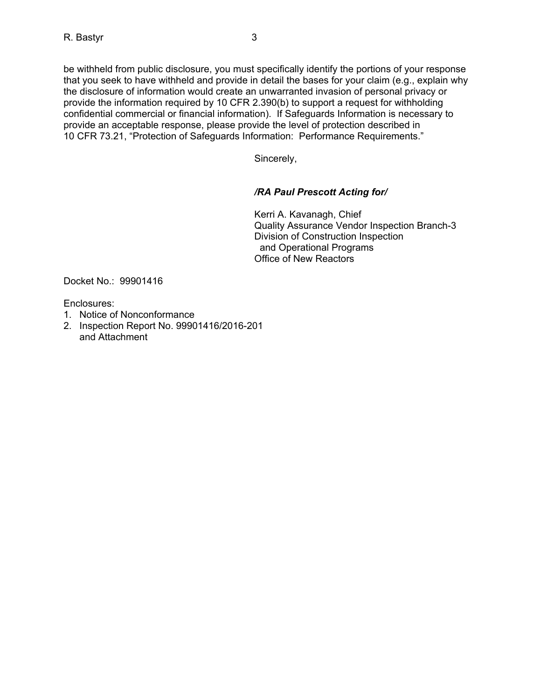be withheld from public disclosure, you must specifically identify the portions of your response that you seek to have withheld and provide in detail the bases for your claim (e.g., explain why the disclosure of information would create an unwarranted invasion of personal privacy or provide the information required by 10 CFR 2.390(b) to support a request for withholding confidential commercial or financial information). If Safeguards Information is necessary to provide an acceptable response, please provide the level of protection described in 10 CFR 73.21, "Protection of Safeguards Information: Performance Requirements."

Sincerely,

# */RA Paul Prescott Acting for/*

Kerri A. Kavanagh, Chief Quality Assurance Vendor Inspection Branch-3 Division of Construction Inspection and Operational Programs Office of New Reactors

Docket No.: 99901416

Enclosures:

- 1. Notice of Nonconformance
- 2. Inspection Report No. 99901416/2016-201 and Attachment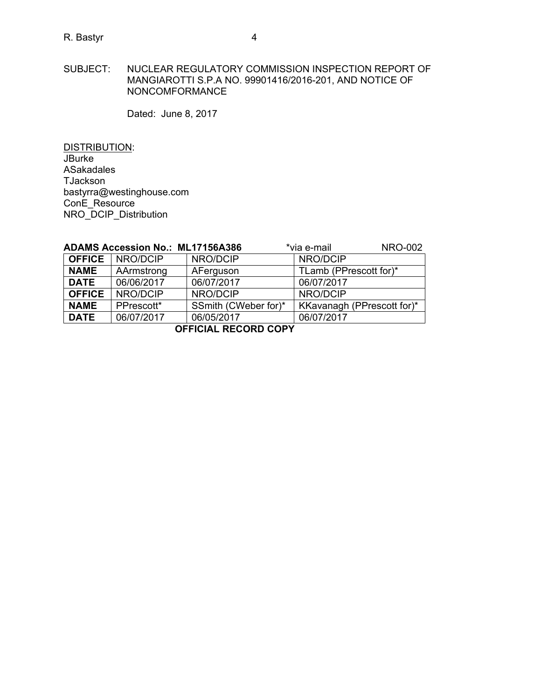SUBJECT: NUCLEAR REGULATORY COMMISSION INSPECTION REPORT OF MANGIAROTTI S.P.A NO. 99901416/2016-201, AND NOTICE OF NONCOMFORMANCE

Dated: June 8, 2017

DISTRIBUTION: JBurke ASakadales **TJackson** bastyrra@westinghouse.com ConE\_Resource NRO\_DCIP\_Distribution

| <b>ADAMS Accession No.: ML17156A386</b> |                          |                      | <b>NRO-002</b><br>*via e-mail |  |  |
|-----------------------------------------|--------------------------|----------------------|-------------------------------|--|--|
|                                         | <b>OFFICE</b>   NRO/DCIP | NRO/DCIP             | NRO/DCIP                      |  |  |
| <b>NAME</b>                             | AArmstrong               | AFerguson            | TLamb (PPrescott for)*        |  |  |
| <b>DATE</b>                             | 06/06/2017               | 06/07/2017           | 06/07/2017                    |  |  |
| <b>OFFICE</b>                           | NRO/DCIP                 | NRO/DCIP             | NRO/DCIP                      |  |  |
| <b>NAME</b>                             | PPrescott*               | SSmith (CWeber for)* | KKavanagh (PPrescott for)*    |  |  |
| <b>DATE</b>                             | 06/07/2017               | 06/05/2017           | 06/07/2017                    |  |  |
| OCCIOIAL DECODD CODV                    |                          |                      |                               |  |  |

**OFFICIAL RECORD COPY**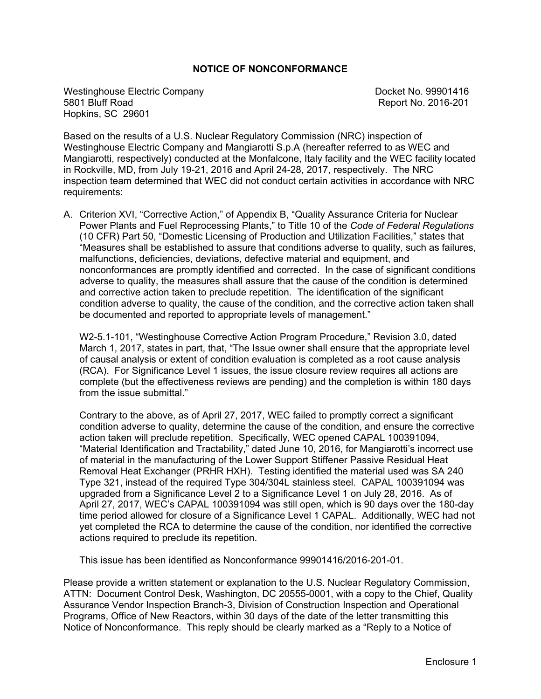### **NOTICE OF NONCONFORMANCE**

Westinghouse Electric Company and Company Docket No. 99901416<br>
5801 Bluff Road **Docket No. 2016-201** Hopkins, SC 29601

Report No. 2016-201

Based on the results of a U.S. Nuclear Regulatory Commission (NRC) inspection of Westinghouse Electric Company and Mangiarotti S.p.A (hereafter referred to as WEC and Mangiarotti, respectively) conducted at the Monfalcone, Italy facility and the WEC facility located in Rockville, MD, from July 19-21, 2016 and April 24-28, 2017, respectively. The NRC inspection team determined that WEC did not conduct certain activities in accordance with NRC requirements:

A. Criterion XVI, "Corrective Action," of Appendix B, "Quality Assurance Criteria for Nuclear Power Plants and Fuel Reprocessing Plants," to Title 10 of the *Code of Federal Regulations* (10 CFR) Part 50, "Domestic Licensing of Production and Utilization Facilities," states that "Measures shall be established to assure that conditions adverse to quality, such as failures, malfunctions, deficiencies, deviations, defective material and equipment, and nonconformances are promptly identified and corrected. In the case of significant conditions adverse to quality, the measures shall assure that the cause of the condition is determined and corrective action taken to preclude repetition. The identification of the significant condition adverse to quality, the cause of the condition, and the corrective action taken shall be documented and reported to appropriate levels of management."

W2-5.1-101, "Westinghouse Corrective Action Program Procedure," Revision 3.0, dated March 1, 2017, states in part, that, "The Issue owner shall ensure that the appropriate level of causal analysis or extent of condition evaluation is completed as a root cause analysis (RCA). For Significance Level 1 issues, the issue closure review requires all actions are complete (but the effectiveness reviews are pending) and the completion is within 180 days from the issue submittal."

Contrary to the above, as of April 27, 2017, WEC failed to promptly correct a significant condition adverse to quality, determine the cause of the condition, and ensure the corrective action taken will preclude repetition. Specifically, WEC opened CAPAL 100391094, "Material Identification and Tractability," dated June 10, 2016, for Mangiarotti's incorrect use of material in the manufacturing of the Lower Support Stiffener Passive Residual Heat Removal Heat Exchanger (PRHR HXH). Testing identified the material used was SA 240 Type 321, instead of the required Type 304/304L stainless steel. CAPAL 100391094 was upgraded from a Significance Level 2 to a Significance Level 1 on July 28, 2016. As of April 27, 2017, WEC's CAPAL 100391094 was still open, which is 90 days over the 180-day time period allowed for closure of a Significance Level 1 CAPAL. Additionally, WEC had not yet completed the RCA to determine the cause of the condition, nor identified the corrective actions required to preclude its repetition.

This issue has been identified as Nonconformance 99901416/2016-201-01.

Please provide a written statement or explanation to the U.S. Nuclear Regulatory Commission, ATTN: Document Control Desk, Washington, DC 20555-0001, with a copy to the Chief, Quality Assurance Vendor Inspection Branch-3, Division of Construction Inspection and Operational Programs, Office of New Reactors, within 30 days of the date of the letter transmitting this Notice of Nonconformance. This reply should be clearly marked as a "Reply to a Notice of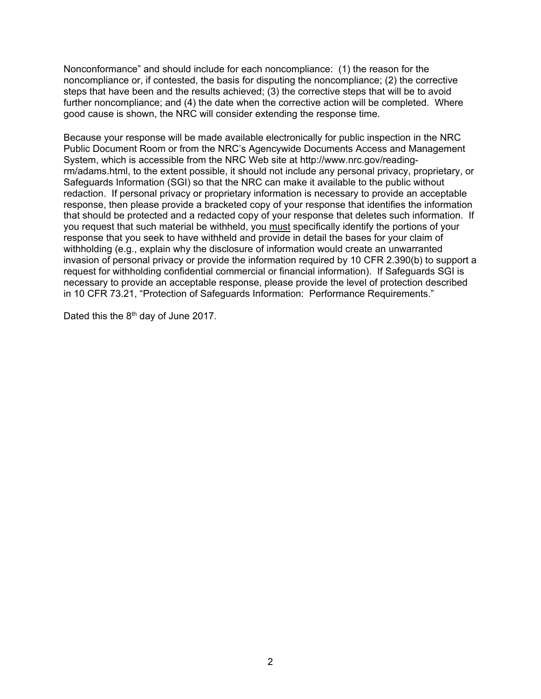Nonconformance" and should include for each noncompliance: (1) the reason for the noncompliance or, if contested, the basis for disputing the noncompliance; (2) the corrective steps that have been and the results achieved; (3) the corrective steps that will be to avoid further noncompliance; and (4) the date when the corrective action will be completed. Where good cause is shown, the NRC will consider extending the response time.

Because your response will be made available electronically for public inspection in the NRC Public Document Room or from the NRC's Agencywide Documents Access and Management System, which is accessible from the NRC Web site at http://www.nrc.gov/readingrm/adams.html, to the extent possible, it should not include any personal privacy, proprietary, or Safeguards Information (SGI) so that the NRC can make it available to the public without redaction. If personal privacy or proprietary information is necessary to provide an acceptable response, then please provide a bracketed copy of your response that identifies the information that should be protected and a redacted copy of your response that deletes such information. If you request that such material be withheld, you must specifically identify the portions of your response that you seek to have withheld and provide in detail the bases for your claim of withholding (e.g., explain why the disclosure of information would create an unwarranted invasion of personal privacy or provide the information required by 10 CFR 2.390(b) to support a request for withholding confidential commercial or financial information). If Safeguards SGI is necessary to provide an acceptable response, please provide the level of protection described in 10 CFR 73.21, "Protection of Safeguards Information: Performance Requirements."

Dated this the 8<sup>th</sup> day of June 2017.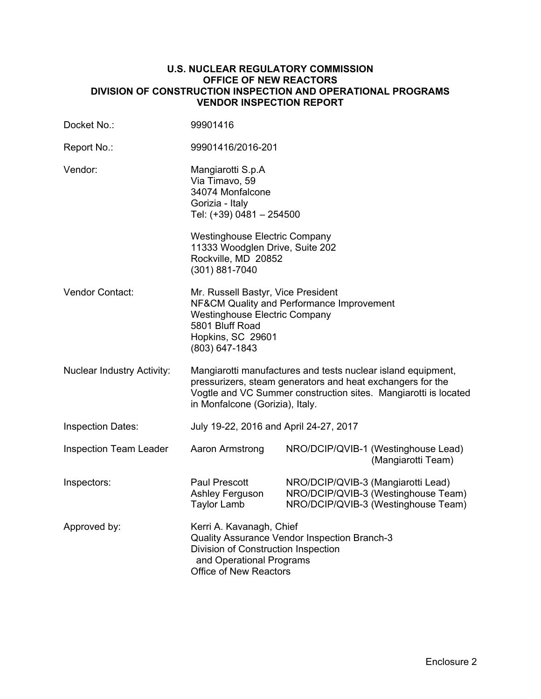### **U.S. NUCLEAR REGULATORY COMMISSION OFFICE OF NEW REACTORS DIVISION OF CONSTRUCTION INSPECTION AND OPERATIONAL PROGRAMS VENDOR INSPECTION REPORT**

| Docket No.:                       | 99901416                                                                                                                                                                                                                         |                                    |                                                                            |
|-----------------------------------|----------------------------------------------------------------------------------------------------------------------------------------------------------------------------------------------------------------------------------|------------------------------------|----------------------------------------------------------------------------|
| Report No.:                       | 99901416/2016-201                                                                                                                                                                                                                |                                    |                                                                            |
| Vendor:                           | Mangiarotti S.p.A<br>Via Timavo, 59<br>34074 Monfalcone<br>Gorizia - Italy<br>Tel: (+39) 0481 - 254500<br><b>Westinghouse Electric Company</b><br>11333 Woodglen Drive, Suite 202<br>Rockville, MD 20852<br>(301) 881-7040       |                                    |                                                                            |
| Vendor Contact:                   | Mr. Russell Bastyr, Vice President<br>NF&CM Quality and Performance Improvement<br><b>Westinghouse Electric Company</b><br>5801 Bluff Road<br>Hopkins, SC 29601<br>(803) 647-1843                                                |                                    |                                                                            |
| <b>Nuclear Industry Activity:</b> | Mangiarotti manufactures and tests nuclear island equipment,<br>pressurizers, steam generators and heat exchangers for the<br>Vogtle and VC Summer construction sites. Mangiarotti is located<br>in Monfalcone (Gorizia), Italy. |                                    |                                                                            |
| <b>Inspection Dates:</b>          | July 19-22, 2016 and April 24-27, 2017                                                                                                                                                                                           |                                    |                                                                            |
| <b>Inspection Team Leader</b>     | Aaron Armstrong                                                                                                                                                                                                                  |                                    | NRO/DCIP/QVIB-1 (Westinghouse Lead)<br>(Mangiarotti Team)                  |
| Inspectors:                       | <b>Paul Prescott</b><br>Ashley Ferguson<br><b>Taylor Lamb</b>                                                                                                                                                                    | NRO/DCIP/QVIB-3 (Mangiarotti Lead) | NRO/DCIP/QVIB-3 (Westinghouse Team)<br>NRO/DCIP/QVIB-3 (Westinghouse Team) |
| Approved by:                      | Kerri A. Kavanagh, Chief<br>Quality Assurance Vendor Inspection Branch-3<br>Division of Construction Inspection<br>and Operational Programs<br>Office of New Reactors                                                            |                                    |                                                                            |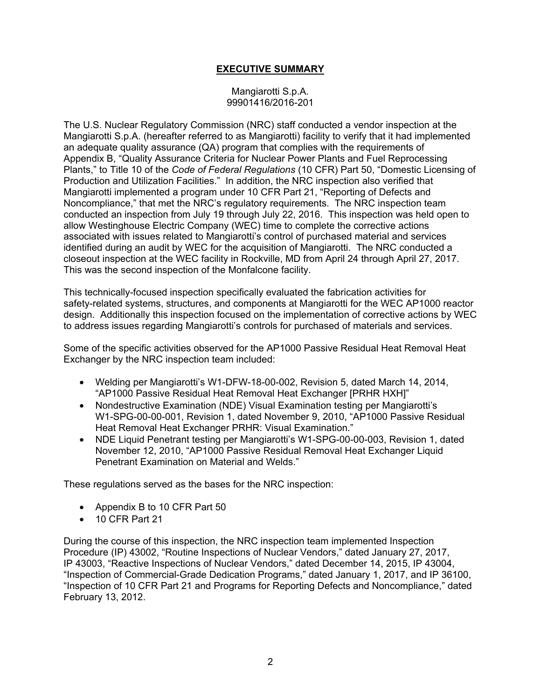# **EXECUTIVE SUMMARY**

### Mangiarotti S.p.A. 99901416/2016-201

The U.S. Nuclear Regulatory Commission (NRC) staff conducted a vendor inspection at the Mangiarotti S.p.A. (hereafter referred to as Mangiarotti) facility to verify that it had implemented an adequate quality assurance (QA) program that complies with the requirements of Appendix B, "Quality Assurance Criteria for Nuclear Power Plants and Fuel Reprocessing Plants," to Title 10 of the *Code of Federal Regulations* (10 CFR) Part 50, "Domestic Licensing of Production and Utilization Facilities." In addition, the NRC inspection also verified that Mangiarotti implemented a program under 10 CFR Part 21, "Reporting of Defects and Noncompliance," that met the NRC's regulatory requirements. The NRC inspection team conducted an inspection from July 19 through July 22, 2016. This inspection was held open to allow Westinghouse Electric Company (WEC) time to complete the corrective actions associated with issues related to Mangiarotti's control of purchased material and services identified during an audit by WEC for the acquisition of Mangiarotti. The NRC conducted a closeout inspection at the WEC facility in Rockville, MD from April 24 through April 27, 2017. This was the second inspection of the Monfalcone facility.

This technically-focused inspection specifically evaluated the fabrication activities for safety-related systems, structures, and components at Mangiarotti for the WEC AP1000 reactor design. Additionally this inspection focused on the implementation of corrective actions by WEC to address issues regarding Mangiarotti's controls for purchased of materials and services.

Some of the specific activities observed for the AP1000 Passive Residual Heat Removal Heat Exchanger by the NRC inspection team included:

- Welding per Mangiarotti's W1-DFW-18-00-002, Revision 5, dated March 14, 2014, "AP1000 Passive Residual Heat Removal Heat Exchanger [PRHR HXH]"
- Nondestructive Examination (NDE) Visual Examination testing per Mangiarotti's W1-SPG-00-00-001, Revision 1, dated November 9, 2010, "AP1000 Passive Residual Heat Removal Heat Exchanger PRHR: Visual Examination."
- NDE Liquid Penetrant testing per Mangiarotti's W1-SPG-00-00-003, Revision 1, dated November 12, 2010, "AP1000 Passive Residual Removal Heat Exchanger Liquid Penetrant Examination on Material and Welds."

These regulations served as the bases for the NRC inspection:

- Appendix B to 10 CFR Part 50
- 10 CFR Part 21

During the course of this inspection, the NRC inspection team implemented Inspection Procedure (IP) 43002, "Routine Inspections of Nuclear Vendors," dated January 27, 2017, IP 43003, "Reactive Inspections of Nuclear Vendors," dated December 14, 2015, IP 43004, "Inspection of Commercial-Grade Dedication Programs," dated January 1, 2017, and IP 36100, "Inspection of 10 CFR Part 21 and Programs for Reporting Defects and Noncompliance," dated February 13, 2012.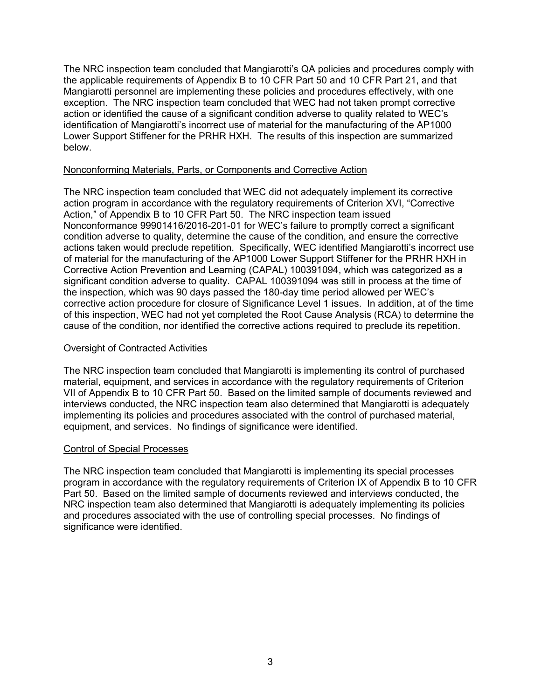The NRC inspection team concluded that Mangiarotti's QA policies and procedures comply with the applicable requirements of Appendix B to 10 CFR Part 50 and 10 CFR Part 21, and that Mangiarotti personnel are implementing these policies and procedures effectively, with one exception. The NRC inspection team concluded that WEC had not taken prompt corrective action or identified the cause of a significant condition adverse to quality related to WEC's identification of Mangiarotti's incorrect use of material for the manufacturing of the AP1000 Lower Support Stiffener for the PRHR HXH. The results of this inspection are summarized below.

### Nonconforming Materials, Parts, or Components and Corrective Action

The NRC inspection team concluded that WEC did not adequately implement its corrective action program in accordance with the regulatory requirements of Criterion XVI, "Corrective Action," of Appendix B to 10 CFR Part 50. The NRC inspection team issued Nonconformance 99901416/2016-201-01 for WEC's failure to promptly correct a significant condition adverse to quality, determine the cause of the condition, and ensure the corrective actions taken would preclude repetition. Specifically, WEC identified Mangiarotti's incorrect use of material for the manufacturing of the AP1000 Lower Support Stiffener for the PRHR HXH in Corrective Action Prevention and Learning (CAPAL) 100391094, which was categorized as a significant condition adverse to quality. CAPAL 100391094 was still in process at the time of the inspection, which was 90 days passed the 180-day time period allowed per WEC's corrective action procedure for closure of Significance Level 1 issues. In addition, at of the time of this inspection, WEC had not yet completed the Root Cause Analysis (RCA) to determine the cause of the condition, nor identified the corrective actions required to preclude its repetition.

### Oversight of Contracted Activities

The NRC inspection team concluded that Mangiarotti is implementing its control of purchased material, equipment, and services in accordance with the regulatory requirements of Criterion VII of Appendix B to 10 CFR Part 50. Based on the limited sample of documents reviewed and interviews conducted, the NRC inspection team also determined that Mangiarotti is adequately implementing its policies and procedures associated with the control of purchased material, equipment, and services. No findings of significance were identified.

#### Control of Special Processes

The NRC inspection team concluded that Mangiarotti is implementing its special processes program in accordance with the regulatory requirements of Criterion IX of Appendix B to 10 CFR Part 50. Based on the limited sample of documents reviewed and interviews conducted, the NRC inspection team also determined that Mangiarotti is adequately implementing its policies and procedures associated with the use of controlling special processes. No findings of significance were identified.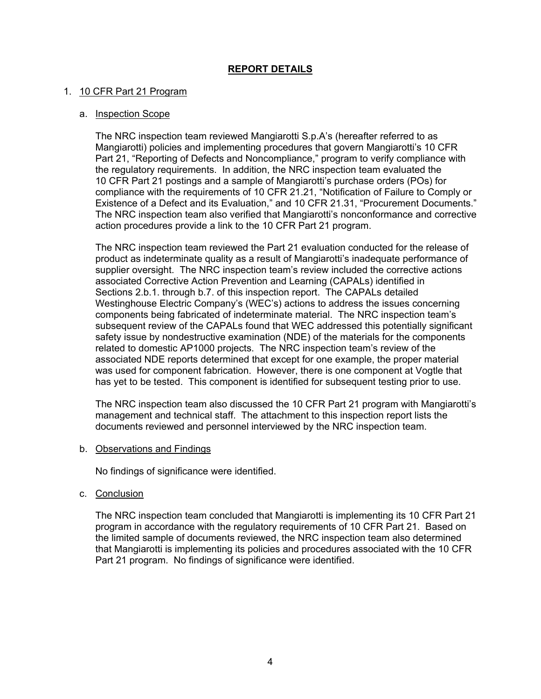# **REPORT DETAILS**

### 1. 10 CFR Part 21 Program

### a. Inspection Scope

The NRC inspection team reviewed Mangiarotti S.p.A's (hereafter referred to as Mangiarotti) policies and implementing procedures that govern Mangiarotti's 10 CFR Part 21, "Reporting of Defects and Noncompliance," program to verify compliance with the regulatory requirements. In addition, the NRC inspection team evaluated the 10 CFR Part 21 postings and a sample of Mangiarotti's purchase orders (POs) for compliance with the requirements of 10 CFR 21.21, "Notification of Failure to Comply or Existence of a Defect and its Evaluation," and 10 CFR 21.31, "Procurement Documents." The NRC inspection team also verified that Mangiarotti's nonconformance and corrective action procedures provide a link to the 10 CFR Part 21 program.

The NRC inspection team reviewed the Part 21 evaluation conducted for the release of product as indeterminate quality as a result of Mangiarotti's inadequate performance of supplier oversight. The NRC inspection team's review included the corrective actions associated Corrective Action Prevention and Learning (CAPALs) identified in Sections 2.b.1. through b.7. of this inspection report. The CAPALs detailed Westinghouse Electric Company's (WEC's) actions to address the issues concerning components being fabricated of indeterminate material. The NRC inspection team's subsequent review of the CAPALs found that WEC addressed this potentially significant safety issue by nondestructive examination (NDE) of the materials for the components related to domestic AP1000 projects. The NRC inspection team's review of the associated NDE reports determined that except for one example, the proper material was used for component fabrication. However, there is one component at Vogtle that has yet to be tested. This component is identified for subsequent testing prior to use.

The NRC inspection team also discussed the 10 CFR Part 21 program with Mangiarotti's management and technical staff. The attachment to this inspection report lists the documents reviewed and personnel interviewed by the NRC inspection team.

#### b. Observations and Findings

No findings of significance were identified.

c. Conclusion

The NRC inspection team concluded that Mangiarotti is implementing its 10 CFR Part 21 program in accordance with the regulatory requirements of 10 CFR Part 21. Based on the limited sample of documents reviewed, the NRC inspection team also determined that Mangiarotti is implementing its policies and procedures associated with the 10 CFR Part 21 program. No findings of significance were identified.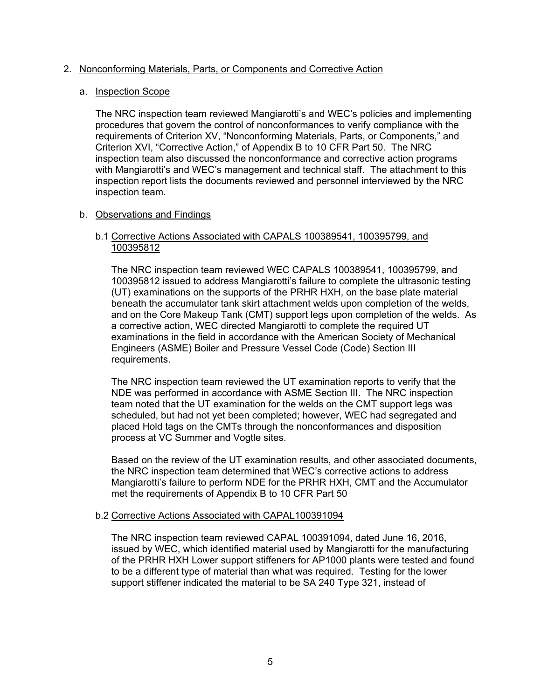### 2. Nonconforming Materials, Parts, or Components and Corrective Action

### a. Inspection Scope

The NRC inspection team reviewed Mangiarotti's and WEC's policies and implementing procedures that govern the control of nonconformances to verify compliance with the requirements of Criterion XV, "Nonconforming Materials, Parts, or Components," and Criterion XVI, "Corrective Action," of Appendix B to 10 CFR Part 50. The NRC inspection team also discussed the nonconformance and corrective action programs with Mangiarotti's and WEC's management and technical staff. The attachment to this inspection report lists the documents reviewed and personnel interviewed by the NRC inspection team.

### b. Observations and Findings

### b.1 Corrective Actions Associated with CAPALS 100389541, 100395799, and 100395812

The NRC inspection team reviewed WEC CAPALS 100389541, 100395799, and 100395812 issued to address Mangiarotti's failure to complete the ultrasonic testing (UT) examinations on the supports of the PRHR HXH, on the base plate material beneath the accumulator tank skirt attachment welds upon completion of the welds, and on the Core Makeup Tank (CMT) support legs upon completion of the welds. As a corrective action, WEC directed Mangiarotti to complete the required UT examinations in the field in accordance with the American Society of Mechanical Engineers (ASME) Boiler and Pressure Vessel Code (Code) Section III requirements.

The NRC inspection team reviewed the UT examination reports to verify that the NDE was performed in accordance with ASME Section III. The NRC inspection team noted that the UT examination for the welds on the CMT support legs was scheduled, but had not yet been completed; however, WEC had segregated and placed Hold tags on the CMTs through the nonconformances and disposition process at VC Summer and Vogtle sites.

Based on the review of the UT examination results, and other associated documents, the NRC inspection team determined that WEC's corrective actions to address Mangiarotti's failure to perform NDE for the PRHR HXH, CMT and the Accumulator met the requirements of Appendix B to 10 CFR Part 50

#### b.2 Corrective Actions Associated with CAPAL100391094

The NRC inspection team reviewed CAPAL 100391094, dated June 16, 2016, issued by WEC, which identified material used by Mangiarotti for the manufacturing of the PRHR HXH Lower support stiffeners for AP1000 plants were tested and found to be a different type of material than what was required. Testing for the lower support stiffener indicated the material to be SA 240 Type 321, instead of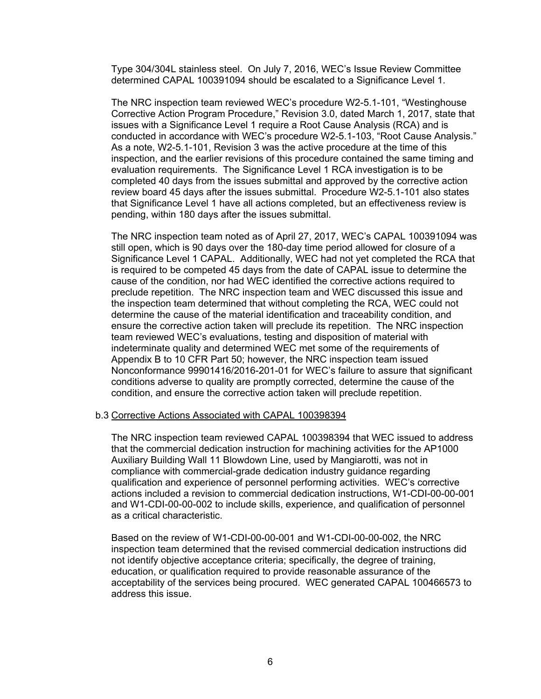Type 304/304L stainless steel. On July 7, 2016, WEC's Issue Review Committee determined CAPAL 100391094 should be escalated to a Significance Level 1.

The NRC inspection team reviewed WEC's procedure W2-5.1-101, "Westinghouse Corrective Action Program Procedure," Revision 3.0, dated March 1, 2017, state that issues with a Significance Level 1 require a Root Cause Analysis (RCA) and is conducted in accordance with WEC's procedure W2-5.1-103, "Root Cause Analysis." As a note, W2-5.1-101, Revision 3 was the active procedure at the time of this inspection, and the earlier revisions of this procedure contained the same timing and evaluation requirements. The Significance Level 1 RCA investigation is to be completed 40 days from the issues submittal and approved by the corrective action review board 45 days after the issues submittal. Procedure W2-5.1-101 also states that Significance Level 1 have all actions completed, but an effectiveness review is pending, within 180 days after the issues submittal.

The NRC inspection team noted as of April 27, 2017, WEC's CAPAL 100391094 was still open, which is 90 days over the 180-day time period allowed for closure of a Significance Level 1 CAPAL. Additionally, WEC had not yet completed the RCA that is required to be competed 45 days from the date of CAPAL issue to determine the cause of the condition, nor had WEC identified the corrective actions required to preclude repetition. The NRC inspection team and WEC discussed this issue and the inspection team determined that without completing the RCA, WEC could not determine the cause of the material identification and traceability condition, and ensure the corrective action taken will preclude its repetition. The NRC inspection team reviewed WEC's evaluations, testing and disposition of material with indeterminate quality and determined WEC met some of the requirements of Appendix B to 10 CFR Part 50; however, the NRC inspection team issued Nonconformance 99901416/2016-201-01 for WEC's failure to assure that significant conditions adverse to quality are promptly corrected, determine the cause of the condition, and ensure the corrective action taken will preclude repetition.

#### b.3 Corrective Actions Associated with CAPAL 100398394

The NRC inspection team reviewed CAPAL 100398394 that WEC issued to address that the commercial dedication instruction for machining activities for the AP1000 Auxiliary Building Wall 11 Blowdown Line, used by Mangiarotti, was not in compliance with commercial-grade dedication industry guidance regarding qualification and experience of personnel performing activities. WEC's corrective actions included a revision to commercial dedication instructions, W1-CDI-00-00-001 and W1-CDI-00-00-002 to include skills, experience, and qualification of personnel as a critical characteristic.

Based on the review of W1-CDI-00-00-001 and W1-CDI-00-00-002, the NRC inspection team determined that the revised commercial dedication instructions did not identify objective acceptance criteria; specifically, the degree of training, education, or qualification required to provide reasonable assurance of the acceptability of the services being procured. WEC generated CAPAL 100466573 to address this issue.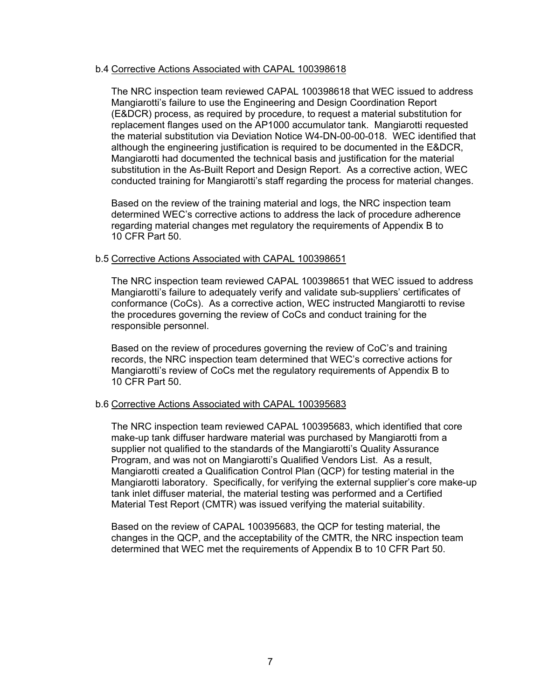#### b.4 Corrective Actions Associated with CAPAL 100398618

The NRC inspection team reviewed CAPAL 100398618 that WEC issued to address Mangiarotti's failure to use the Engineering and Design Coordination Report (E&DCR) process, as required by procedure, to request a material substitution for replacement flanges used on the AP1000 accumulator tank. Mangiarotti requested the material substitution via Deviation Notice W4-DN-00-00-018. WEC identified that although the engineering justification is required to be documented in the E&DCR, Mangiarotti had documented the technical basis and justification for the material substitution in the As-Built Report and Design Report. As a corrective action, WEC conducted training for Mangiarotti's staff regarding the process for material changes.

Based on the review of the training material and logs, the NRC inspection team determined WEC's corrective actions to address the lack of procedure adherence regarding material changes met regulatory the requirements of Appendix B to 10 CFR Part 50.

#### b.5 Corrective Actions Associated with CAPAL 100398651

The NRC inspection team reviewed CAPAL 100398651 that WEC issued to address Mangiarotti's failure to adequately verify and validate sub-suppliers' certificates of conformance (CoCs). As a corrective action, WEC instructed Mangiarotti to revise the procedures governing the review of CoCs and conduct training for the responsible personnel.

Based on the review of procedures governing the review of CoC's and training records, the NRC inspection team determined that WEC's corrective actions for Mangiarotti's review of CoCs met the regulatory requirements of Appendix B to 10 CFR Part 50.

#### b.6 Corrective Actions Associated with CAPAL 100395683

The NRC inspection team reviewed CAPAL 100395683, which identified that core make-up tank diffuser hardware material was purchased by Mangiarotti from a supplier not qualified to the standards of the Mangiarotti's Quality Assurance Program, and was not on Mangiarotti's Qualified Vendors List. As a result, Mangiarotti created a Qualification Control Plan (QCP) for testing material in the Mangiarotti laboratory. Specifically, for verifying the external supplier's core make-up tank inlet diffuser material, the material testing was performed and a Certified Material Test Report (CMTR) was issued verifying the material suitability.

Based on the review of CAPAL 100395683, the QCP for testing material, the changes in the QCP, and the acceptability of the CMTR, the NRC inspection team determined that WEC met the requirements of Appendix B to 10 CFR Part 50.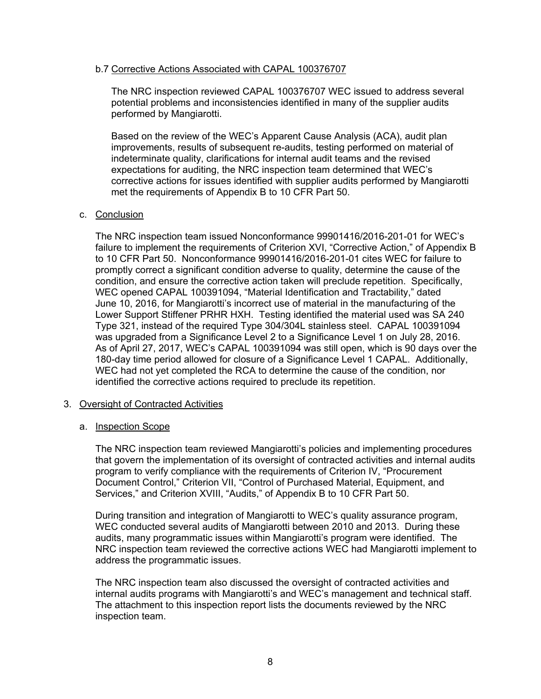### b.7 Corrective Actions Associated with CAPAL 100376707

The NRC inspection reviewed CAPAL 100376707 WEC issued to address several potential problems and inconsistencies identified in many of the supplier audits performed by Mangiarotti.

Based on the review of the WEC's Apparent Cause Analysis (ACA), audit plan improvements, results of subsequent re-audits, testing performed on material of indeterminate quality, clarifications for internal audit teams and the revised expectations for auditing, the NRC inspection team determined that WEC's corrective actions for issues identified with supplier audits performed by Mangiarotti met the requirements of Appendix B to 10 CFR Part 50.

### c. Conclusion

The NRC inspection team issued Nonconformance 99901416/2016-201-01 for WEC's failure to implement the requirements of Criterion XVI, "Corrective Action," of Appendix B to 10 CFR Part 50. Nonconformance 99901416/2016-201-01 cites WEC for failure to promptly correct a significant condition adverse to quality, determine the cause of the condition, and ensure the corrective action taken will preclude repetition. Specifically, WEC opened CAPAL 100391094, "Material Identification and Tractability," dated June 10, 2016, for Mangiarotti's incorrect use of material in the manufacturing of the Lower Support Stiffener PRHR HXH. Testing identified the material used was SA 240 Type 321, instead of the required Type 304/304L stainless steel. CAPAL 100391094 was upgraded from a Significance Level 2 to a Significance Level 1 on July 28, 2016. As of April 27, 2017, WEC's CAPAL 100391094 was still open, which is 90 days over the 180-day time period allowed for closure of a Significance Level 1 CAPAL. Additionally, WEC had not yet completed the RCA to determine the cause of the condition, nor identified the corrective actions required to preclude its repetition.

#### 3. Oversight of Contracted Activities

#### a. Inspection Scope

The NRC inspection team reviewed Mangiarotti's policies and implementing procedures that govern the implementation of its oversight of contracted activities and internal audits program to verify compliance with the requirements of Criterion IV, "Procurement Document Control," Criterion VII, "Control of Purchased Material, Equipment, and Services," and Criterion XVIII, "Audits," of Appendix B to 10 CFR Part 50.

During transition and integration of Mangiarotti to WEC's quality assurance program, WEC conducted several audits of Mangiarotti between 2010 and 2013. During these audits, many programmatic issues within Mangiarotti's program were identified. The NRC inspection team reviewed the corrective actions WEC had Mangiarotti implement to address the programmatic issues.

The NRC inspection team also discussed the oversight of contracted activities and internal audits programs with Mangiarotti's and WEC's management and technical staff. The attachment to this inspection report lists the documents reviewed by the NRC inspection team.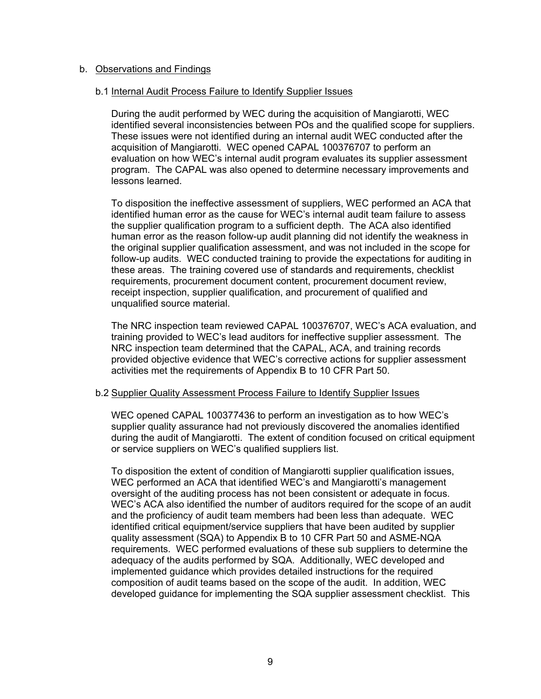### b. Observations and Findings

### b.1 Internal Audit Process Failure to Identify Supplier Issues

During the audit performed by WEC during the acquisition of Mangiarotti, WEC identified several inconsistencies between POs and the qualified scope for suppliers. These issues were not identified during an internal audit WEC conducted after the acquisition of Mangiarotti. WEC opened CAPAL 100376707 to perform an evaluation on how WEC's internal audit program evaluates its supplier assessment program. The CAPAL was also opened to determine necessary improvements and lessons learned.

To disposition the ineffective assessment of suppliers, WEC performed an ACA that identified human error as the cause for WEC's internal audit team failure to assess the supplier qualification program to a sufficient depth. The ACA also identified human error as the reason follow-up audit planning did not identify the weakness in the original supplier qualification assessment, and was not included in the scope for follow-up audits. WEC conducted training to provide the expectations for auditing in these areas. The training covered use of standards and requirements, checklist requirements, procurement document content, procurement document review, receipt inspection, supplier qualification, and procurement of qualified and unqualified source material.

The NRC inspection team reviewed CAPAL 100376707, WEC's ACA evaluation, and training provided to WEC's lead auditors for ineffective supplier assessment. The NRC inspection team determined that the CAPAL, ACA, and training records provided objective evidence that WEC's corrective actions for supplier assessment activities met the requirements of Appendix B to 10 CFR Part 50.

#### b.2 Supplier Quality Assessment Process Failure to Identify Supplier Issues

WEC opened CAPAL 100377436 to perform an investigation as to how WEC's supplier quality assurance had not previously discovered the anomalies identified during the audit of Mangiarotti. The extent of condition focused on critical equipment or service suppliers on WEC's qualified suppliers list.

To disposition the extent of condition of Mangiarotti supplier qualification issues, WEC performed an ACA that identified WEC's and Mangiarotti's management oversight of the auditing process has not been consistent or adequate in focus. WEC's ACA also identified the number of auditors required for the scope of an audit and the proficiency of audit team members had been less than adequate. WEC identified critical equipment/service suppliers that have been audited by supplier quality assessment (SQA) to Appendix B to 10 CFR Part 50 and ASME-NQA requirements. WEC performed evaluations of these sub suppliers to determine the adequacy of the audits performed by SQA. Additionally, WEC developed and implemented guidance which provides detailed instructions for the required composition of audit teams based on the scope of the audit. In addition, WEC developed guidance for implementing the SQA supplier assessment checklist. This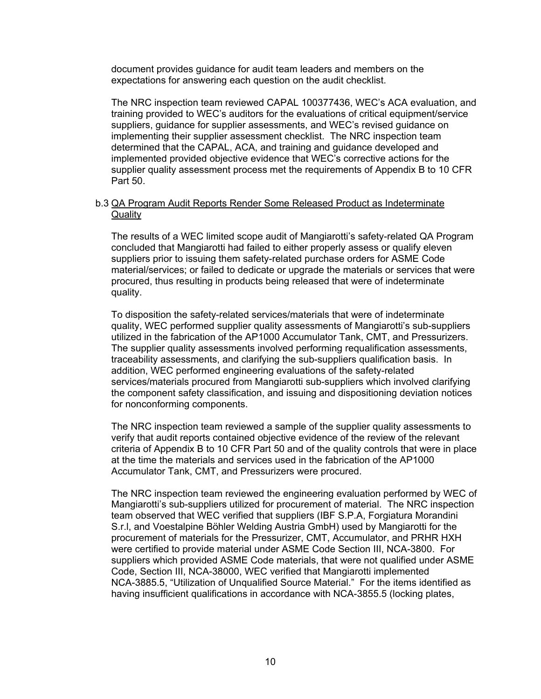document provides guidance for audit team leaders and members on the expectations for answering each question on the audit checklist.

The NRC inspection team reviewed CAPAL 100377436, WEC's ACA evaluation, and training provided to WEC's auditors for the evaluations of critical equipment/service suppliers, guidance for supplier assessments, and WEC's revised guidance on implementing their supplier assessment checklist. The NRC inspection team determined that the CAPAL, ACA, and training and guidance developed and implemented provided objective evidence that WEC's corrective actions for the supplier quality assessment process met the requirements of Appendix B to 10 CFR Part 50.

### b.3 QA Program Audit Reports Render Some Released Product as Indeterminate **Quality**

The results of a WEC limited scope audit of Mangiarotti's safety-related QA Program concluded that Mangiarotti had failed to either properly assess or qualify eleven suppliers prior to issuing them safety-related purchase orders for ASME Code material/services; or failed to dedicate or upgrade the materials or services that were procured, thus resulting in products being released that were of indeterminate quality.

To disposition the safety-related services/materials that were of indeterminate quality, WEC performed supplier quality assessments of Mangiarotti's sub-suppliers utilized in the fabrication of the AP1000 Accumulator Tank, CMT, and Pressurizers. The supplier quality assessments involved performing requalification assessments, traceability assessments, and clarifying the sub-suppliers qualification basis. In addition, WEC performed engineering evaluations of the safety-related services/materials procured from Mangiarotti sub-suppliers which involved clarifying the component safety classification, and issuing and dispositioning deviation notices for nonconforming components.

The NRC inspection team reviewed a sample of the supplier quality assessments to verify that audit reports contained objective evidence of the review of the relevant criteria of Appendix B to 10 CFR Part 50 and of the quality controls that were in place at the time the materials and services used in the fabrication of the AP1000 Accumulator Tank, CMT, and Pressurizers were procured.

The NRC inspection team reviewed the engineering evaluation performed by WEC of Mangiarotti's sub-suppliers utilized for procurement of material. The NRC inspection team observed that WEC verified that suppliers (IBF S.P.A, Forgiatura Morandini S.r.l, and Voestalpine Böhler Welding Austria GmbH) used by Mangiarotti for the procurement of materials for the Pressurizer, CMT, Accumulator, and PRHR HXH were certified to provide material under ASME Code Section III, NCA-3800. For suppliers which provided ASME Code materials, that were not qualified under ASME Code, Section III, NCA-38000, WEC verified that Mangiarotti implemented NCA-3885.5, "Utilization of Unqualified Source Material." For the items identified as having insufficient qualifications in accordance with NCA-3855.5 (locking plates,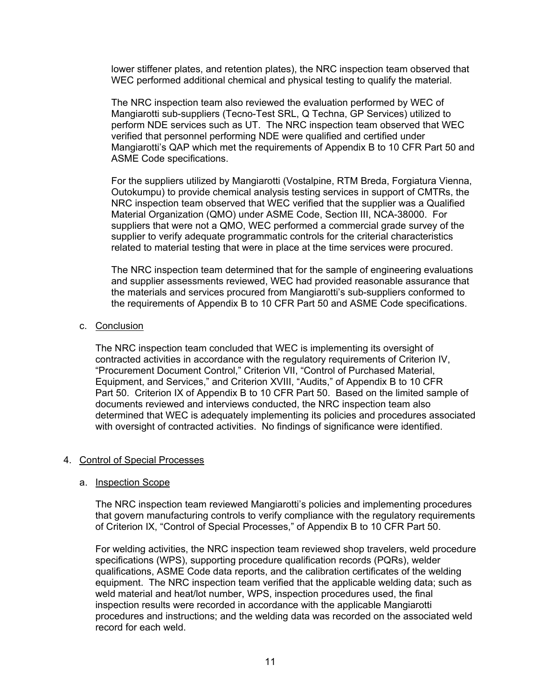lower stiffener plates, and retention plates), the NRC inspection team observed that WEC performed additional chemical and physical testing to qualify the material.

The NRC inspection team also reviewed the evaluation performed by WEC of Mangiarotti sub-suppliers (Tecno-Test SRL, Q Techna, GP Services) utilized to perform NDE services such as UT. The NRC inspection team observed that WEC verified that personnel performing NDE were qualified and certified under Mangiarotti's QAP which met the requirements of Appendix B to 10 CFR Part 50 and ASME Code specifications.

For the suppliers utilized by Mangiarotti (Vostalpine, RTM Breda, Forgiatura Vienna, Outokumpu) to provide chemical analysis testing services in support of CMTRs, the NRC inspection team observed that WEC verified that the supplier was a Qualified Material Organization (QMO) under ASME Code, Section III, NCA-38000. For suppliers that were not a QMO, WEC performed a commercial grade survey of the supplier to verify adequate programmatic controls for the criterial characteristics related to material testing that were in place at the time services were procured.

The NRC inspection team determined that for the sample of engineering evaluations and supplier assessments reviewed, WEC had provided reasonable assurance that the materials and services procured from Mangiarotti's sub-suppliers conformed to the requirements of Appendix B to 10 CFR Part 50 and ASME Code specifications.

c. Conclusion

The NRC inspection team concluded that WEC is implementing its oversight of contracted activities in accordance with the regulatory requirements of Criterion IV, "Procurement Document Control," Criterion VII, "Control of Purchased Material, Equipment, and Services," and Criterion XVIII, "Audits," of Appendix B to 10 CFR Part 50. Criterion IX of Appendix B to 10 CFR Part 50. Based on the limited sample of documents reviewed and interviews conducted, the NRC inspection team also determined that WEC is adequately implementing its policies and procedures associated with oversight of contracted activities. No findings of significance were identified.

#### 4. Control of Special Processes

#### a. Inspection Scope

The NRC inspection team reviewed Mangiarotti's policies and implementing procedures that govern manufacturing controls to verify compliance with the regulatory requirements of Criterion IX, "Control of Special Processes," of Appendix B to 10 CFR Part 50.

For welding activities, the NRC inspection team reviewed shop travelers, weld procedure specifications (WPS), supporting procedure qualification records (PQRs), welder qualifications, ASME Code data reports, and the calibration certificates of the welding equipment. The NRC inspection team verified that the applicable welding data; such as weld material and heat/lot number, WPS, inspection procedures used, the final inspection results were recorded in accordance with the applicable Mangiarotti procedures and instructions; and the welding data was recorded on the associated weld record for each weld.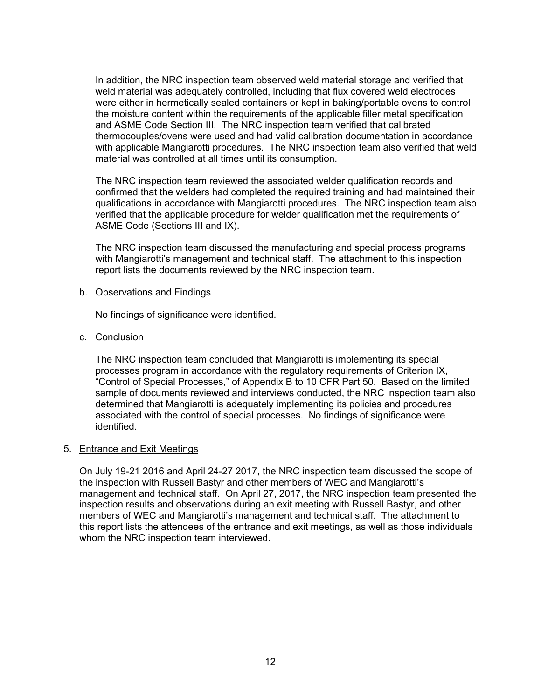In addition, the NRC inspection team observed weld material storage and verified that weld material was adequately controlled, including that flux covered weld electrodes were either in hermetically sealed containers or kept in baking/portable ovens to control the moisture content within the requirements of the applicable filler metal specification and ASME Code Section III. The NRC inspection team verified that calibrated thermocouples/ovens were used and had valid calibration documentation in accordance with applicable Mangiarotti procedures. The NRC inspection team also verified that weld material was controlled at all times until its consumption.

The NRC inspection team reviewed the associated welder qualification records and confirmed that the welders had completed the required training and had maintained their qualifications in accordance with Mangiarotti procedures. The NRC inspection team also verified that the applicable procedure for welder qualification met the requirements of ASME Code (Sections III and IX).

The NRC inspection team discussed the manufacturing and special process programs with Mangiarotti's management and technical staff. The attachment to this inspection report lists the documents reviewed by the NRC inspection team.

#### b. Observations and Findings

No findings of significance were identified.

c. Conclusion

The NRC inspection team concluded that Mangiarotti is implementing its special processes program in accordance with the regulatory requirements of Criterion IX, "Control of Special Processes," of Appendix B to 10 CFR Part 50. Based on the limited sample of documents reviewed and interviews conducted, the NRC inspection team also determined that Mangiarotti is adequately implementing its policies and procedures associated with the control of special processes. No findings of significance were identified.

### 5. Entrance and Exit Meetings

On July 19-21 2016 and April 24-27 2017, the NRC inspection team discussed the scope of the inspection with Russell Bastyr and other members of WEC and Mangiarotti's management and technical staff. On April 27, 2017, the NRC inspection team presented the inspection results and observations during an exit meeting with Russell Bastyr, and other members of WEC and Mangiarotti's management and technical staff. The attachment to this report lists the attendees of the entrance and exit meetings, as well as those individuals whom the NRC inspection team interviewed.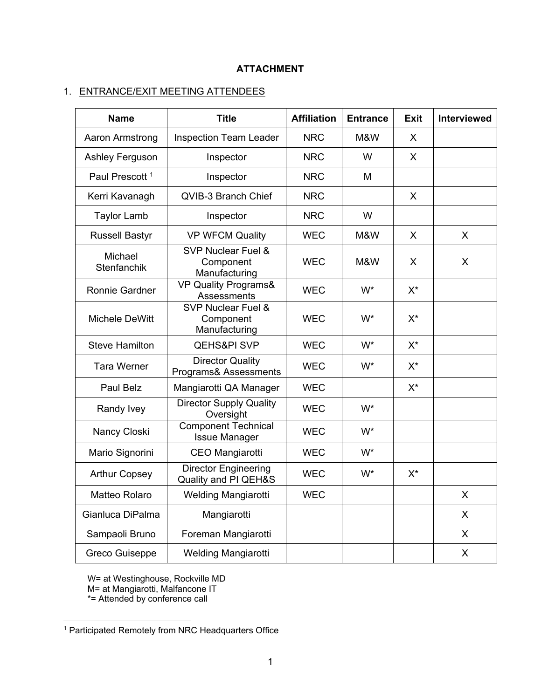# **ATTACHMENT**

# 1. ENTRANCE/EXIT MEETING ATTENDEES

| <b>Name</b>                | <b>Title</b>                                        | <b>Affiliation</b> | <b>Entrance</b> | <b>Exit</b>  | Interviewed |
|----------------------------|-----------------------------------------------------|--------------------|-----------------|--------------|-------------|
| Aaron Armstrong            | <b>Inspection Team Leader</b>                       | <b>NRC</b>         | M&W             | X            |             |
| Ashley Ferguson            | Inspector                                           | <b>NRC</b>         | W               | $\mathsf{X}$ |             |
| Paul Prescott <sup>1</sup> | Inspector                                           | <b>NRC</b>         | M               |              |             |
| Kerri Kavanagh             | QVIB-3 Branch Chief                                 | <b>NRC</b>         |                 | X            |             |
| <b>Taylor Lamb</b>         | Inspector                                           | <b>NRC</b>         | W               |              |             |
| <b>Russell Bastyr</b>      | <b>VP WFCM Quality</b>                              | <b>WEC</b>         | M&W             | X            | X           |
| Michael<br>Stenfanchik     | SVP Nuclear Fuel &<br>Component<br>Manufacturing    | <b>WEC</b>         | M&W             | X            | X           |
| Ronnie Gardner             | VP Quality Programs&<br>Assessments                 | <b>WEC</b>         | W*              | $X^*$        |             |
| Michele DeWitt             | SVP Nuclear Fuel &<br>Component<br>Manufacturing    | <b>WEC</b>         | W*              | $X^*$        |             |
| <b>Steve Hamilton</b>      | <b>QEHS&amp;PI SVP</b>                              | <b>WEC</b>         | W*              | $X^*$        |             |
| <b>Tara Werner</b>         | <b>Director Quality</b><br>Programs& Assessments    | <b>WEC</b>         | W*              | $X^*$        |             |
| Paul Belz                  | Mangiarotti QA Manager                              | <b>WEC</b>         |                 | $X^*$        |             |
| Randy Ivey                 | <b>Director Supply Quality</b><br>Oversight         | <b>WEC</b>         | W*              |              |             |
| Nancy Closki               | <b>Component Technical</b><br><b>Issue Manager</b>  | <b>WEC</b>         | W*              |              |             |
| Mario Signorini            | CEO Mangiarotti                                     | <b>WEC</b>         | W*              |              |             |
| <b>Arthur Copsey</b>       | <b>Director Engineering</b><br>Quality and PI QEH&S | <b>WEC</b>         | W*              | $X^*$        |             |
| Matteo Rolaro              | Welding Mangiarotti                                 | <b>WEC</b>         |                 |              | X           |
| Gianluca DiPalma           | Mangiarotti                                         |                    |                 |              | X           |
| Sampaoli Bruno             | Foreman Mangiarotti                                 |                    |                 |              | X           |
| <b>Greco Guiseppe</b>      | Welding Mangiarotti                                 |                    |                 |              | X           |

W= at Westinghouse, Rockville MD M= at Mangiarotti, Malfancone IT \*= Attended by conference call

 <sup>1</sup> Participated Remotely from NRC Headquarters Office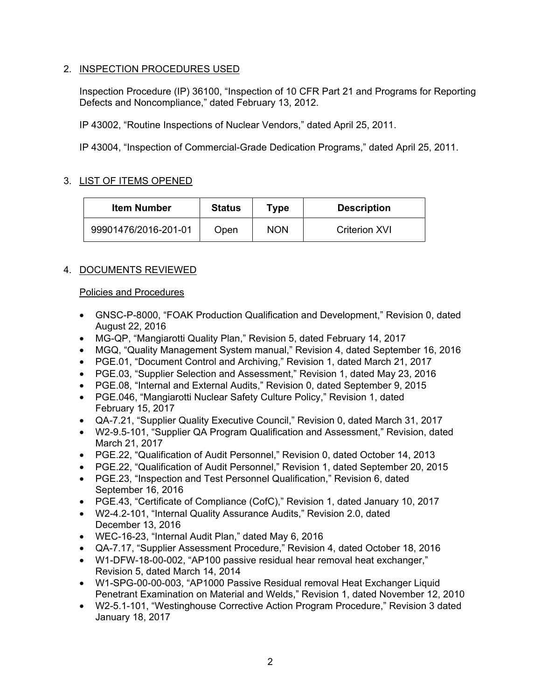# 2. INSPECTION PROCEDURES USED

Inspection Procedure (IP) 36100, "Inspection of 10 CFR Part 21 and Programs for Reporting Defects and Noncompliance," dated February 13, 2012.

IP 43002, "Routine Inspections of Nuclear Vendors," dated April 25, 2011.

IP 43004, "Inspection of Commercial-Grade Dedication Programs," dated April 25, 2011.

## 3. LIST OF ITEMS OPENED

| <b>Item Number</b>   | <b>Status</b> | Type       | <b>Description</b>   |
|----------------------|---------------|------------|----------------------|
| 99901476/2016-201-01 | Open          | <b>NON</b> | <b>Criterion XVI</b> |

# 4. DOCUMENTS REVIEWED

### Policies and Procedures

- GNSC-P-8000, "FOAK Production Qualification and Development," Revision 0, dated August 22, 2016
- MG-QP, "Mangiarotti Quality Plan," Revision 5, dated February 14, 2017
- MGQ, "Quality Management System manual," Revision 4, dated September 16, 2016
- PGE.01, "Document Control and Archiving," Revision 1, dated March 21, 2017
- PGE.03, "Supplier Selection and Assessment," Revision 1, dated May 23, 2016
- PGE.08, "Internal and External Audits," Revision 0, dated September 9, 2015
- PGE.046, "Mangiarotti Nuclear Safety Culture Policy," Revision 1, dated February 15, 2017
- QA-7.21, "Supplier Quality Executive Council," Revision 0, dated March 31, 2017
- W2-9.5-101, "Supplier QA Program Qualification and Assessment," Revision, dated March 21, 2017
- PGE.22, "Qualification of Audit Personnel," Revision 0, dated October 14, 2013
- PGE.22, "Qualification of Audit Personnel," Revision 1, dated September 20, 2015
- PGE.23, "Inspection and Test Personnel Qualification," Revision 6, dated September 16, 2016
- PGE.43, "Certificate of Compliance (CofC)," Revision 1, dated January 10, 2017
- W2-4.2-101, "Internal Quality Assurance Audits," Revision 2.0, dated December 13, 2016
- WEC-16-23, "Internal Audit Plan," dated May 6, 2016
- QA-7.17, "Supplier Assessment Procedure," Revision 4, dated October 18, 2016
- W1-DFW-18-00-002, "AP100 passive residual hear removal heat exchanger," Revision 5, dated March 14, 2014
- W1-SPG-00-00-003, "AP1000 Passive Residual removal Heat Exchanger Liquid Penetrant Examination on Material and Welds," Revision 1, dated November 12, 2010
- W2-5.1-101, "Westinghouse Corrective Action Program Procedure," Revision 3 dated January 18, 2017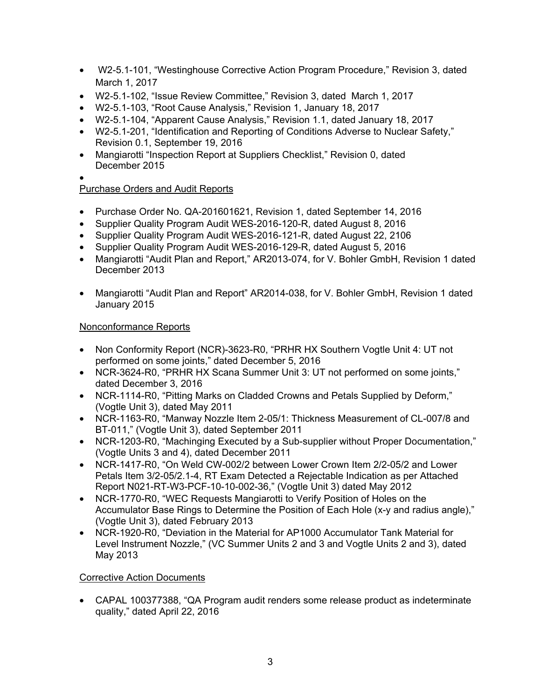- W2-5.1-101, "Westinghouse Corrective Action Program Procedure," Revision 3, dated March 1, 2017
- W2-5.1-102, "Issue Review Committee," Revision 3, dated March 1, 2017
- W2-5.1-103, "Root Cause Analysis," Revision 1, January 18, 2017
- W2-5.1-104, "Apparent Cause Analysis," Revision 1.1, dated January 18, 2017
- W2-5.1-201, "Identification and Reporting of Conditions Adverse to Nuclear Safety," Revision 0.1, September 19, 2016
- Mangiarotti "Inspection Report at Suppliers Checklist," Revision 0, dated December 2015
- •

# Purchase Orders and Audit Reports

- Purchase Order No. QA-201601621, Revision 1, dated September 14, 2016
- Supplier Quality Program Audit WES-2016-120-R, dated August 8, 2016
- Supplier Quality Program Audit WES-2016-121-R, dated August 22, 2106
- Supplier Quality Program Audit WES-2016-129-R, dated August 5, 2016
- Mangiarotti "Audit Plan and Report," AR2013-074, for V. Bohler GmbH, Revision 1 dated December 2013
- Mangiarotti "Audit Plan and Report" AR2014-038, for V. Bohler GmbH, Revision 1 dated January 2015

# Nonconformance Reports

- Non Conformity Report (NCR)-3623-R0, "PRHR HX Southern Vogtle Unit 4: UT not performed on some joints," dated December 5, 2016
- NCR-3624-R0, "PRHR HX Scana Summer Unit 3: UT not performed on some joints," dated December 3, 2016
- NCR-1114-R0, "Pitting Marks on Cladded Crowns and Petals Supplied by Deform," (Vogtle Unit 3), dated May 2011
- NCR-1163-R0, "Manway Nozzle Item 2-05/1: Thickness Measurement of CL-007/8 and BT-011," (Vogtle Unit 3), dated September 2011
- NCR-1203-R0, "Machinging Executed by a Sub-supplier without Proper Documentation," (Vogtle Units 3 and 4), dated December 2011
- NCR-1417-R0, "On Weld CW-002/2 between Lower Crown Item 2/2-05/2 and Lower Petals Item 3/2-05/2.1-4, RT Exam Detected a Rejectable Indication as per Attached Report N021-RT-W3-PCF-10-10-002-36," (Vogtle Unit 3) dated May 2012
- NCR-1770-R0, "WEC Requests Mangiarotti to Verify Position of Holes on the Accumulator Base Rings to Determine the Position of Each Hole (x-y and radius angle)," (Vogtle Unit 3), dated February 2013
- NCR-1920-R0, "Deviation in the Material for AP1000 Accumulator Tank Material for Level Instrument Nozzle," (VC Summer Units 2 and 3 and Vogtle Units 2 and 3), dated May 2013

# Corrective Action Documents

• CAPAL 100377388, "QA Program audit renders some release product as indeterminate quality," dated April 22, 2016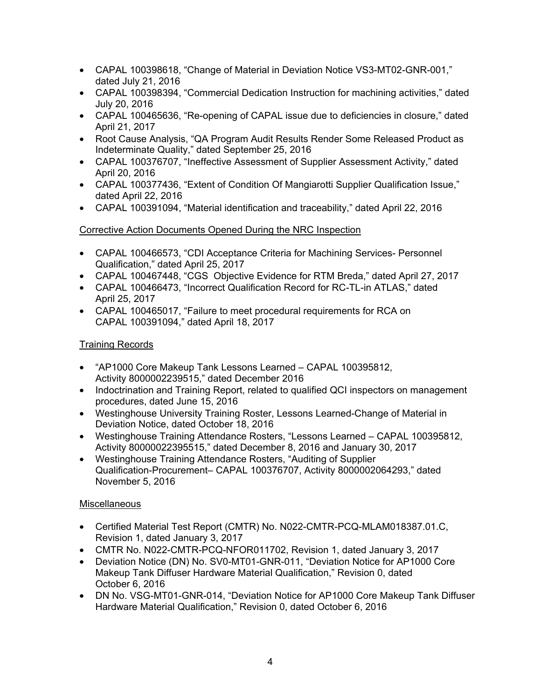- CAPAL 100398618, "Change of Material in Deviation Notice VS3-MT02-GNR-001," dated July 21, 2016
- CAPAL 100398394, "Commercial Dedication Instruction for machining activities," dated July 20, 2016
- CAPAL 100465636, "Re-opening of CAPAL issue due to deficiencies in closure," dated April 21, 2017
- Root Cause Analysis, "QA Program Audit Results Render Some Released Product as Indeterminate Quality," dated September 25, 2016
- CAPAL 100376707, "Ineffective Assessment of Supplier Assessment Activity," dated April 20, 2016
- CAPAL 100377436, "Extent of Condition Of Mangiarotti Supplier Qualification Issue," dated April 22, 2016
- CAPAL 100391094, "Material identification and traceability," dated April 22, 2016

# Corrective Action Documents Opened During the NRC Inspection

- CAPAL 100466573, "CDI Acceptance Criteria for Machining Services- Personnel Qualification," dated April 25, 2017
- CAPAL 100467448, "CGS Objective Evidence for RTM Breda," dated April 27, 2017
- CAPAL 100466473, "Incorrect Qualification Record for RC-TL-in ATLAS," dated April 25, 2017
- CAPAL 100465017, "Failure to meet procedural requirements for RCA on CAPAL 100391094," dated April 18, 2017

# **Training Records**

- "AP1000 Core Makeup Tank Lessons Learned CAPAL 100395812, Activity 8000002239515," dated December 2016
- Indoctrination and Training Report, related to qualified QCI inspectors on management procedures, dated June 15, 2016
- Westinghouse University Training Roster, Lessons Learned-Change of Material in Deviation Notice, dated October 18, 2016
- Westinghouse Training Attendance Rosters, "Lessons Learned CAPAL 100395812, Activity 80000022395515," dated December 8, 2016 and January 30, 2017
- Westinghouse Training Attendance Rosters, "Auditing of Supplier Qualification-Procurement– CAPAL 100376707, Activity 8000002064293," dated November 5, 2016

# **Miscellaneous**

- Certified Material Test Report (CMTR) No. N022-CMTR-PCQ-MLAM018387.01.C, Revision 1, dated January 3, 2017
- CMTR No. N022-CMTR-PCQ-NFOR011702, Revision 1, dated January 3, 2017
- Deviation Notice (DN) No. SV0-MT01-GNR-011, "Deviation Notice for AP1000 Core Makeup Tank Diffuser Hardware Material Qualification," Revision 0, dated October 6, 2016
- DN No. VSG-MT01-GNR-014, "Deviation Notice for AP1000 Core Makeup Tank Diffuser Hardware Material Qualification," Revision 0, dated October 6, 2016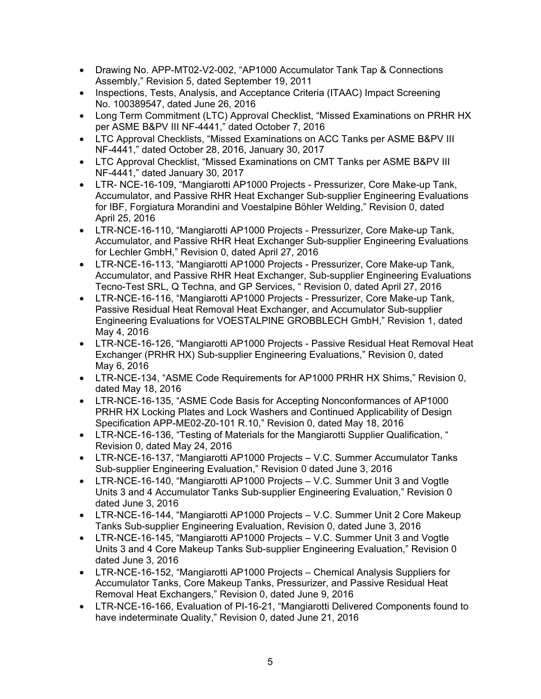- Drawing No. APP-MT02-V2-002, "AP1000 Accumulator Tank Tap & Connections Assembly," Revision 5, dated September 19, 2011
- Inspections, Tests, Analysis, and Acceptance Criteria (ITAAC) Impact Screening No. 100389547, dated June 26, 2016
- Long Term Commitment (LTC) Approval Checklist, "Missed Examinations on PRHR HX per ASME B&PV III NF-4441," dated October 7, 2016
- LTC Approval Checklists, "Missed Examinations on ACC Tanks per ASME B&PV III NF-4441," dated October 28, 2016, January 30, 2017
- LTC Approval Checklist, "Missed Examinations on CMT Tanks per ASME B&PV III NF-4441," dated January 30, 2017
- LTR- NCE-16-109, "Mangiarotti AP1000 Projects Pressurizer, Core Make-up Tank, Accumulator, and Passive RHR Heat Exchanger Sub-supplier Engineering Evaluations for IBF, Forgiatura Morandini and Voestalpine Böhler Welding," Revision 0, dated April 25, 2016
- LTR-NCE-16-110, "Mangiarotti AP1000 Projects Pressurizer, Core Make-up Tank, Accumulator, and Passive RHR Heat Exchanger Sub-supplier Engineering Evaluations for Lechler GmbH," Revision 0, dated April 27, 2016
- LTR-NCE-16-113, "Mangiarotti AP1000 Projects Pressurizer, Core Make-up Tank, Accumulator, and Passive RHR Heat Exchanger, Sub-supplier Engineering Evaluations Tecno-Test SRL, Q Techna, and GP Services, " Revision 0, dated April 27, 2016
- LTR-NCE-16-116, "Mangiarotti AP1000 Projects Pressurizer, Core Make-up Tank, Passive Residual Heat Removal Heat Exchanger, and Accumulator Sub-supplier Engineering Evaluations for VOESTALPINE GROBBLECH GmbH," Revision 1, dated May 4, 2016
- LTR-NCE-16-126, "Mangiarotti AP1000 Projects Passive Residual Heat Removal Heat Exchanger (PRHR HX) Sub-supplier Engineering Evaluations," Revision 0, dated May 6, 2016
- LTR-NCE-134, "ASME Code Requirements for AP1000 PRHR HX Shims," Revision 0, dated May 18, 2016
- LTR-NCE-16-135, "ASME Code Basis for Accepting Nonconformances of AP1000 PRHR HX Locking Plates and Lock Washers and Continued Applicability of Design Specification APP-ME02-Z0-101 R.10," Revision 0, dated May 18, 2016
- LTR-NCE-16-136, "Testing of Materials for the Mangiarotti Supplier Qualification, " Revision 0, dated May 24, 2016
- LTR-NCE-16-137, "Mangiarotti AP1000 Projects V.C. Summer Accumulator Tanks Sub-supplier Engineering Evaluation," Revision 0 dated June 3, 2016
- LTR-NCE-16-140, "Mangiarotti AP1000 Projects V.C. Summer Unit 3 and Vogtle Units 3 and 4 Accumulator Tanks Sub-supplier Engineering Evaluation," Revision 0 dated June 3, 2016
- LTR-NCE-16-144, "Mangiarotti AP1000 Projects V.C. Summer Unit 2 Core Makeup Tanks Sub-supplier Engineering Evaluation, Revision 0, dated June 3, 2016
- LTR-NCE-16-145, "Mangiarotti AP1000 Projects V.C. Summer Unit 3 and Vogtle Units 3 and 4 Core Makeup Tanks Sub-supplier Engineering Evaluation," Revision 0 dated June 3, 2016
- LTR-NCE-16-152, "Mangiarotti AP1000 Projects Chemical Analysis Suppliers for Accumulator Tanks, Core Makeup Tanks, Pressurizer, and Passive Residual Heat Removal Heat Exchangers," Revision 0, dated June 9, 2016
- LTR-NCE-16-166, Evaluation of PI-16-21, "Mangiarotti Delivered Components found to have indeterminate Quality," Revision 0, dated June 21, 2016